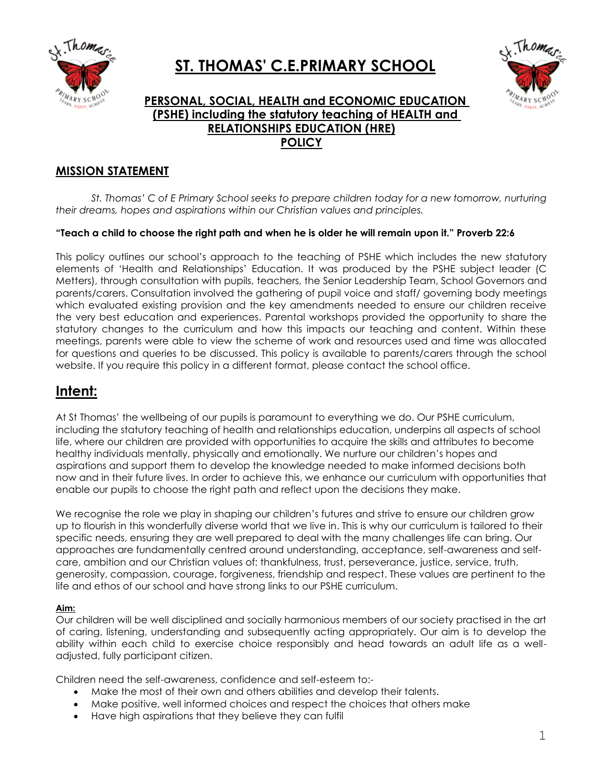

# **ST. THOMAS' C.E.PRIMARY SCHOOL**



# **PERSONAL, SOCIAL, HEALTH and ECONOMIC EDUCATION (PSHE) including the statutory teaching of HEALTH and RELATIONSHIPS EDUCATION (HRE) POLICY**

# **MISSION STATEMENT**

*St. Thomas' C of E Primary School seeks to prepare children today for a new tomorrow, nurturing their dreams, hopes and aspirations within our Christian values and principles.*

## **"Teach a child to choose the right path and when he is older he will remain upon it." Proverb 22:6**

This policy outlines our school's approach to the teaching of PSHE which includes the new statutory elements of 'Health and Relationships' Education. It was produced by the PSHE subject leader (C Metters), through consultation with pupils, teachers, the Senior Leadership Team, School Governors and parents/carers. Consultation involved the gathering of pupil voice and staff/ governing body meetings which evaluated existing provision and the key amendments needed to ensure our children receive the very best education and experiences. Parental workshops provided the opportunity to share the statutory changes to the curriculum and how this impacts our teaching and content. Within these meetings, parents were able to view the scheme of work and resources used and time was allocated for questions and queries to be discussed. This policy is available to parents/carers through the school website. If you require this policy in a different format, please contact the school office.

# **Intent:**

At St Thomas' the wellbeing of our pupils is paramount to everything we do. Our PSHE curriculum, including the statutory teaching of health and relationships education, underpins all aspects of school life, where our children are provided with opportunities to acquire the skills and attributes to become healthy individuals mentally, physically and emotionally. We nurture our children's hopes and aspirations and support them to develop the knowledge needed to make informed decisions both now and in their future lives. In order to achieve this, we enhance our curriculum with opportunities that enable our pupils to choose the right path and reflect upon the decisions they make.

We recognise the role we play in shaping our children's futures and strive to ensure our children grow up to flourish in this wonderfully diverse world that we live in. This is why our curriculum is tailored to their specific needs, ensuring they are well prepared to deal with the many challenges life can bring. Our approaches are fundamentally centred around understanding, acceptance, self-awareness and selfcare, ambition and our Christian values of: thankfulness, trust, perseverance, justice, service, truth, generosity, compassion, courage, forgiveness, friendship and respect. These values are pertinent to the life and ethos of our school and have strong links to our PSHE curriculum.

#### **Aim:**

Our children will be well disciplined and socially harmonious members of our society practised in the art of caring, listening, understanding and subsequently acting appropriately. Our aim is to develop the ability within each child to exercise choice responsibly and head towards an adult life as a welladjusted, fully participant citizen.

Children need the self-awareness, confidence and self-esteem to:-

- Make the most of their own and others abilities and develop their talents.
- Make positive, well informed choices and respect the choices that others make
- Have high aspirations that they believe they can fulfil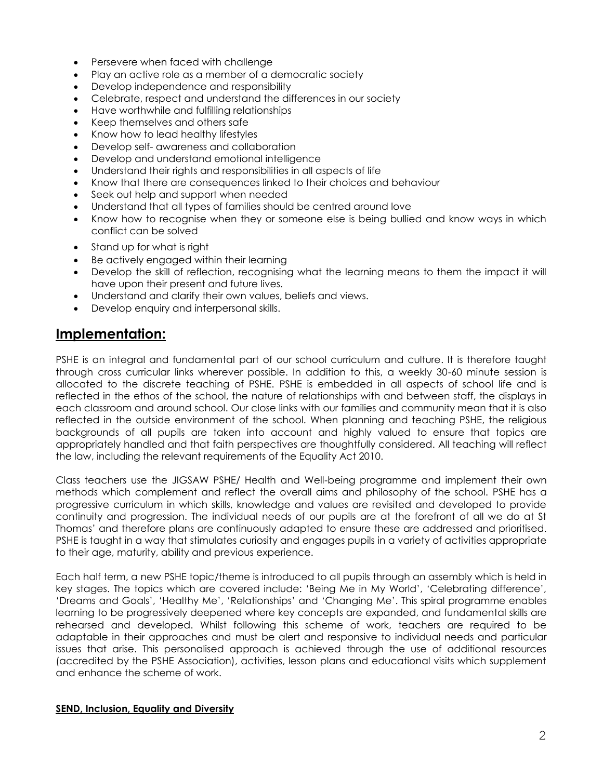- Persevere when faced with challenge
- Play an active role as a member of a democratic society
- Develop independence and responsibility
- Celebrate, respect and understand the differences in our society
- Have worthwhile and fulfilling relationships
- Keep themselves and others safe
- Know how to lead healthy lifestyles
- Develop self- awareness and collaboration
- Develop and understand emotional intelligence
- Understand their rights and responsibilities in all aspects of life
- Know that there are consequences linked to their choices and behaviour
- Seek out help and support when needed
- Understand that all types of families should be centred around love
- Know how to recognise when they or someone else is being bullied and know ways in which conflict can be solved
- Stand up for what is right
- Be actively engaged within their learning
- Develop the skill of reflection, recognising what the learning means to them the impact it will have upon their present and future lives.
- Understand and clarify their own values, beliefs and views.
- Develop enquiry and interpersonal skills.

# **Implementation:**

PSHE is an integral and fundamental part of our school curriculum and culture. It is therefore taught through cross curricular links wherever possible. In addition to this, a weekly 30-60 minute session is allocated to the discrete teaching of PSHE. PSHE is embedded in all aspects of school life and is reflected in the ethos of the school, the nature of relationships with and between staff, the displays in each classroom and around school. Our close links with our families and community mean that it is also reflected in the outside environment of the school. When planning and teaching PSHE, the religious backgrounds of all pupils are taken into account and highly valued to ensure that topics are appropriately handled and that faith perspectives are thoughtfully considered. All teaching will reflect the law, including the relevant requirements of the Equality Act 2010.

Class teachers use the JIGSAW PSHE/ Health and Well-being programme and implement their own methods which complement and reflect the overall aims and philosophy of the school. PSHE has a progressive curriculum in which skills, knowledge and values are revisited and developed to provide continuity and progression. The individual needs of our pupils are at the forefront of all we do at St Thomas' and therefore plans are continuously adapted to ensure these are addressed and prioritised. PSHE is taught in a way that stimulates curiosity and engages pupils in a variety of activities appropriate to their age, maturity, ability and previous experience.

Each half term, a new PSHE topic/theme is introduced to all pupils through an assembly which is held in key stages. The topics which are covered include: 'Being Me in My World', 'Celebrating difference', 'Dreams and Goals', 'Healthy Me', 'Relationships' and 'Changing Me'. This spiral programme enables learning to be progressively deepened where key concepts are expanded, and fundamental skills are rehearsed and developed. Whilst following this scheme of work, teachers are required to be adaptable in their approaches and must be alert and responsive to individual needs and particular issues that arise. This personalised approach is achieved through the use of additional resources (accredited by the PSHE Association), activities, lesson plans and educational visits which supplement and enhance the scheme of work.

# **SEND, Inclusion, Equality and Diversity**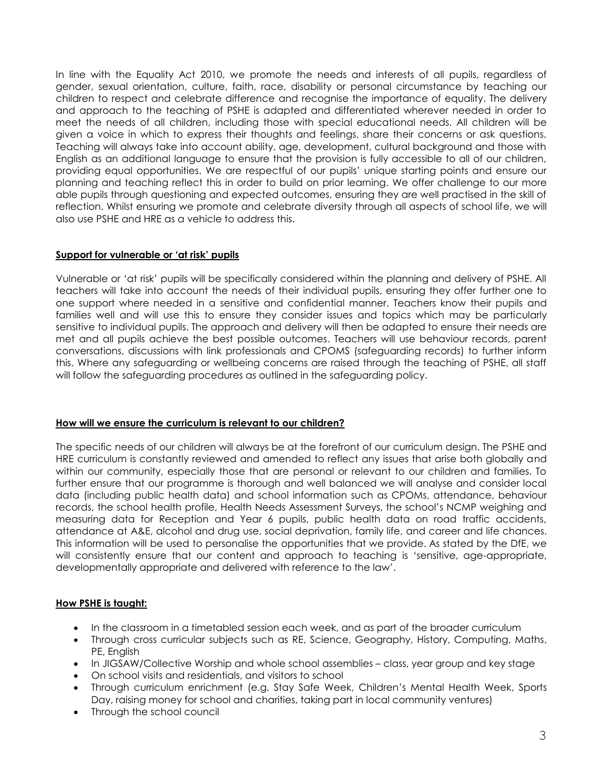In line with the Equality Act 2010, we promote the needs and interests of all pupils, regardless of gender, sexual orientation, culture, faith, race, disability or personal circumstance by teaching our children to respect and celebrate difference and recognise the importance of equality. The delivery and approach to the teaching of PSHE is adapted and differentiated wherever needed in order to meet the needs of all children, including those with special educational needs. All children will be given a voice in which to express their thoughts and feelings, share their concerns or ask questions. Teaching will always take into account ability, age, development, cultural background and those with English as an additional language to ensure that the provision is fully accessible to all of our children, providing equal opportunities. We are respectful of our pupils' unique starting points and ensure our planning and teaching reflect this in order to build on prior learning. We offer challenge to our more able pupils through questioning and expected outcomes, ensuring they are well practised in the skill of reflection. Whilst ensuring we promote and celebrate diversity through all aspects of school life, we will also use PSHE and HRE as a vehicle to address this.

## **Support for vulnerable or 'at risk' pupils**

Vulnerable or 'at risk' pupils will be specifically considered within the planning and delivery of PSHE. All teachers will take into account the needs of their individual pupils, ensuring they offer further one to one support where needed in a sensitive and confidential manner. Teachers know their pupils and families well and will use this to ensure they consider issues and topics which may be particularly sensitive to individual pupils. The approach and delivery will then be adapted to ensure their needs are met and all pupils achieve the best possible outcomes. Teachers will use behaviour records, parent conversations, discussions with link professionals and CPOMS (safeguarding records) to further inform this. Where any safeguarding or wellbeing concerns are raised through the teaching of PSHE, all staff will follow the safeguarding procedures as outlined in the safeguarding policy.

#### **How will we ensure the curriculum is relevant to our children?**

The specific needs of our children will always be at the forefront of our curriculum design. The PSHE and HRE curriculum is constantly reviewed and amended to reflect any issues that arise both globally and within our community, especially those that are personal or relevant to our children and families. To further ensure that our programme is thorough and well balanced we will analyse and consider local data (including public health data) and school information such as CPOMs, attendance, behaviour records, the school health profile, Health Needs Assessment Surveys, the school's NCMP weighing and measuring data for Reception and Year 6 pupils, public health data on road traffic accidents, attendance at A&E, alcohol and drug use, social deprivation, family life, and career and life chances. This information will be used to personalise the opportunities that we provide. As stated by the DfE, we will consistently ensure that our content and approach to teaching is 'sensitive, age-appropriate, developmentally appropriate and delivered with reference to the law'.

# **How PSHE is taught:**

- In the classroom in a timetabled session each week, and as part of the broader curriculum
- Through cross curricular subjects such as RE, Science, Geography, History, Computing, Maths, PE, English
- In JIGSAW/Collective Worship and whole school assemblies class, year group and key stage
- On school visits and residentials, and visitors to school
- Through curriculum enrichment (e.g. Stay Safe Week, Children's Mental Health Week, Sports Day, raising money for school and charities, taking part in local community ventures)
- Through the school council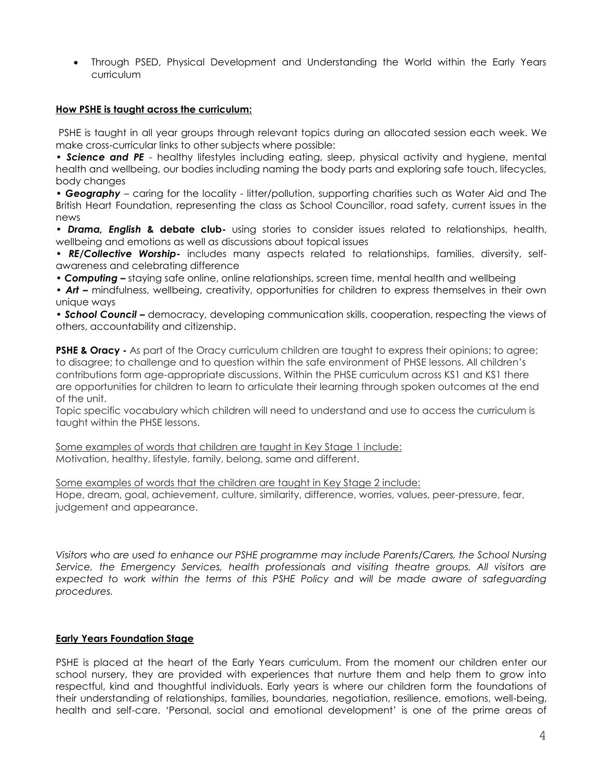Through PSED, Physical Development and Understanding the World within the Early Years curriculum

#### **How PSHE is taught across the curriculum:**

PSHE is taught in all year groups through relevant topics during an allocated session each week. We make cross-curricular links to other subjects where possible:

• *Science and PE* - healthy lifestyles including eating, sleep, physical activity and hygiene, mental health and wellbeing, our bodies including naming the body parts and exploring safe touch, lifecycles, body changes

• *Geography* – caring for the locality - litter/pollution, supporting charities such as Water Aid and The British Heart Foundation, representing the class as School Councillor, road safety, current issues in the news

• *Drama, English* **& debate club-** using stories to consider issues related to relationships, health, wellbeing and emotions as well as discussions about topical issues

• *RE/Collective Worship-* includes many aspects related to relationships, families, diversity, selfawareness and celebrating difference

• *Computing –* staying safe online, online relationships, screen time, mental health and wellbeing

• *Art –* mindfulness, wellbeing, creativity, opportunities for children to express themselves in their own unique ways

• *School Council –* democracy, developing communication skills, cooperation, respecting the views of others, accountability and citizenship.

**PSHE & Oracy -** As part of the Oracy curriculum children are taught to express their opinions; to agree; to disagree; to challenge and to question within the safe environment of PHSE lessons. All children's contributions form age-appropriate discussions. Within the PHSE curriculum across KS1 and KS1 there are opportunities for children to learn to articulate their learning through spoken outcomes at the end of the unit.

Topic specific vocabulary which children will need to understand and use to access the curriculum is taught within the PHSE lessons.

Some examples of words that children are taught in Key Stage 1 include: Motivation, healthy, lifestyle, family, belong, same and different.

Some examples of words that the children are taught in Key Stage 2 include: Hope, dream, goal, achievement, culture, similarity, difference, worries, values, peer-pressure, fear, judgement and appearance.

*Visitors who are used to enhance our PSHE programme may include Parents/Carers, the School Nursing Service, the Emergency Services, health professionals and visiting theatre groups. All visitors are expected to work within the terms of this PSHE Policy and will be made aware of safeguarding procedures.* 

#### **Early Years Foundation Stage**

PSHE is placed at the heart of the Early Years curriculum. From the moment our children enter our school nursery, they are provided with experiences that nurture them and help them to grow into respectful, kind and thoughtful individuals. Early years is where our children form the foundations of their understanding of relationships, families, boundaries, negotiation, resilience, emotions, well-being, health and self-care. 'Personal, social and emotional development' is one of the prime areas of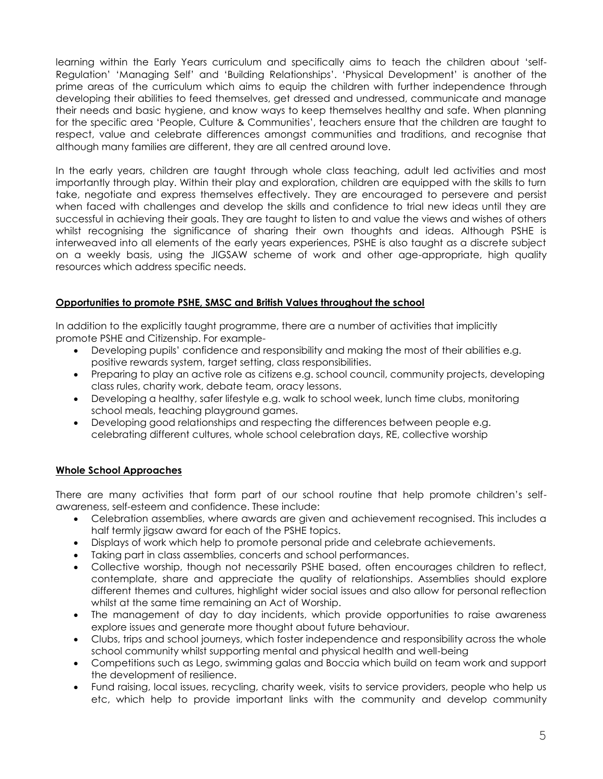learning within the Early Years curriculum and specifically aims to teach the children about 'self-Regulation' 'Managing Self' and 'Building Relationships'. 'Physical Development' is another of the prime areas of the curriculum which aims to equip the children with further independence through developing their abilities to feed themselves, get dressed and undressed, communicate and manage their needs and basic hygiene, and know ways to keep themselves healthy and safe. When planning for the specific area 'People, Culture & Communities', teachers ensure that the children are taught to respect, value and celebrate differences amongst communities and traditions, and recognise that although many families are different, they are all centred around love.

In the early years, children are taught through whole class teaching, adult led activities and most importantly through play. Within their play and exploration, children are equipped with the skills to turn take, neaotiate and express themselves effectively. They are encouraged to persevere and persist when faced with challenges and develop the skills and confidence to trial new ideas until they are successful in achieving their goals. They are taught to listen to and value the views and wishes of others whilst recognising the significance of sharing their own thoughts and ideas. Although PSHE is interweaved into all elements of the early years experiences, PSHE is also taught as a discrete subject on a weekly basis, using the JIGSAW scheme of work and other age-appropriate, high quality resources which address specific needs.

## **Opportunities to promote PSHE, SMSC and British Values throughout the school**

In addition to the explicitly taught programme, there are a number of activities that implicitly promote PSHE and Citizenship. For example-

- Developing pupils' confidence and responsibility and making the most of their abilities e.g. positive rewards system, target setting, class responsibilities.
- Preparing to play an active role as citizens e.g. school council, community projects, developing class rules, charity work, debate team, oracy lessons.
- Developing a healthy, safer lifestyle e.g. walk to school week, lunch time clubs, monitoring school meals, teaching playground games.
- Developing good relationships and respecting the differences between people e.g. celebrating different cultures, whole school celebration days, RE, collective worship

#### **Whole School Approaches**

There are many activities that form part of our school routine that help promote children's selfawareness, self-esteem and confidence. These include:

- Celebration assemblies, where awards are given and achievement recognised. This includes a half termly jigsaw award for each of the PSHE topics.
- Displays of work which help to promote personal pride and celebrate achievements.
- Taking part in class assemblies, concerts and school performances.
- Collective worship, though not necessarily PSHE based, often encourages children to reflect, contemplate, share and appreciate the quality of relationships. Assemblies should explore different themes and cultures, highlight wider social issues and also allow for personal reflection whilst at the same time remaining an Act of Worship.
- The management of day to day incidents, which provide opportunities to raise awareness explore issues and generate more thought about future behaviour.
- Clubs, trips and school journeys, which foster independence and responsibility across the whole school community whilst supporting mental and physical health and well-being
- Competitions such as Lego, swimming galas and Boccia which build on team work and support the development of resilience.
- Fund raising, local issues, recycling, charity week, visits to service providers, people who help us etc, which help to provide important links with the community and develop community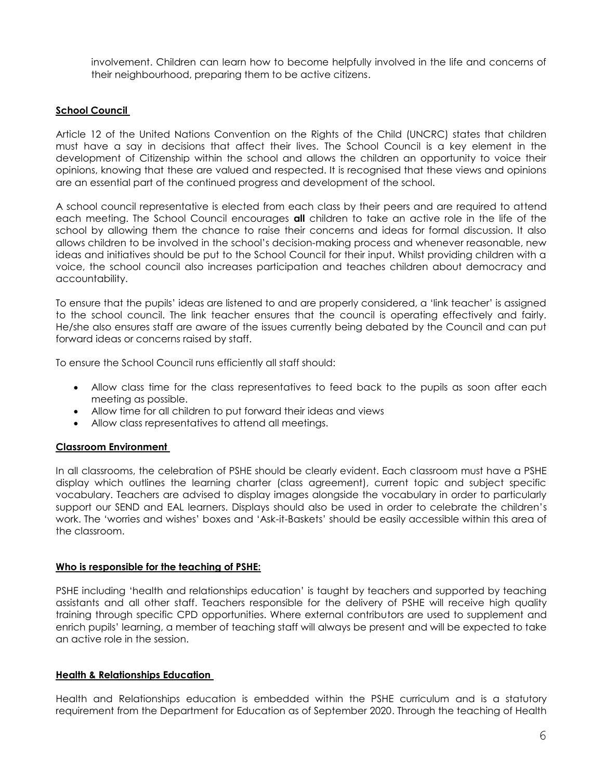involvement. Children can learn how to become helpfully involved in the life and concerns of their neighbourhood, preparing them to be active citizens.

## **School Council**

Article 12 of the United Nations Convention on the Rights of the Child (UNCRC) states that children must have a say in decisions that affect their lives. The School Council is a key element in the development of Citizenship within the school and allows the children an opportunity to voice their opinions, knowing that these are valued and respected. It is recognised that these views and opinions are an essential part of the continued progress and development of the school.

A school council representative is elected from each class by their peers and are required to attend each meeting. The School Council encourages **all** children to take an active role in the life of the school by allowing them the chance to raise their concerns and ideas for formal discussion. It also allows children to be involved in the school's decision-making process and whenever reasonable, new ideas and initiatives should be put to the School Council for their input. Whilst providing children with a voice, the school council also increases participation and teaches children about democracy and accountability.

To ensure that the pupils' ideas are listened to and are properly considered, a 'link teacher' is assigned to the school council. The link teacher ensures that the council is operating effectively and fairly. He/she also ensures staff are aware of the issues currently being debated by the Council and can put forward ideas or concerns raised by staff.

To ensure the School Council runs efficiently all staff should:

- Allow class time for the class representatives to feed back to the pupils as soon after each meeting as possible.
- Allow time for all children to put forward their ideas and views
- Allow class representatives to attend all meetings.

#### **Classroom Environment**

In all classrooms, the celebration of PSHE should be clearly evident. Each classroom must have a PSHE display which outlines the learning charter (class agreement), current topic and subject specific vocabulary. Teachers are advised to display images alongside the vocabulary in order to particularly support our SEND and EAL learners. Displays should also be used in order to celebrate the children's work. The 'worries and wishes' boxes and 'Ask-it-Baskets' should be easily accessible within this area of the classroom.

#### **Who is responsible for the teaching of PSHE:**

PSHE including 'health and relationships education' is taught by teachers and supported by teaching assistants and all other staff. Teachers responsible for the delivery of PSHE will receive high quality training through specific CPD opportunities. Where external contributors are used to supplement and enrich pupils' learning, a member of teaching staff will always be present and will be expected to take an active role in the session.

#### **Health & Relationships Education**

Health and Relationships education is embedded within the PSHE curriculum and is a statutory requirement from the Department for Education as of September 2020. Through the teaching of Health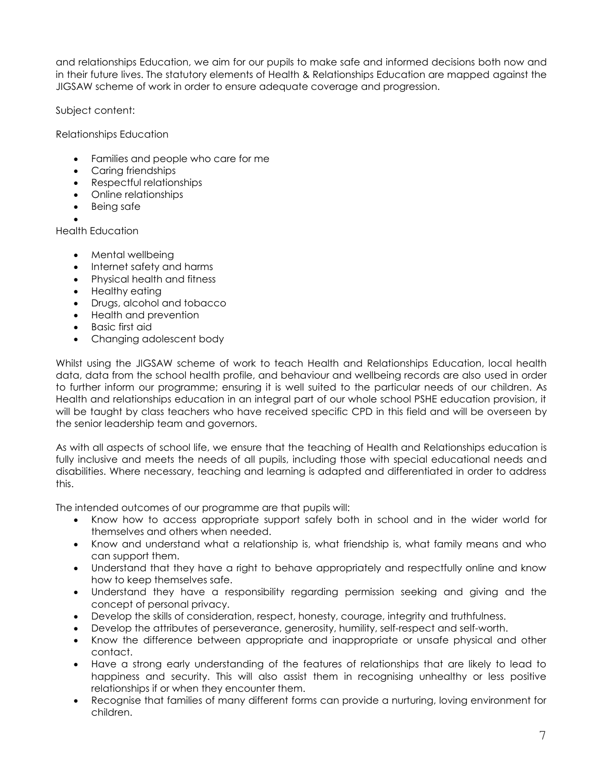and relationships Education, we aim for our pupils to make safe and informed decisions both now and in their future lives. The statutory elements of Health & Relationships Education are mapped against the JIGSAW scheme of work in order to ensure adequate coverage and progression.

Subject content:

Relationships Education

- Families and people who care for me
- Carina friendships
- Respectful relationships
- Online relationships
- Being safe
- $\bullet$

Health Education

- Mental wellbeing
- Internet safety and harms
- Physical health and fitness
- Healthy eating
- Drugs, alcohol and tobacco
- Health and prevention
- Basic first aid
- Changing adolescent body

Whilst using the JIGSAW scheme of work to teach Health and Relationships Education, local health data, data from the school health profile, and behaviour and wellbeing records are also used in order to further inform our programme; ensuring it is well suited to the particular needs of our children. As Health and relationships education in an integral part of our whole school PSHE education provision, it will be taught by class teachers who have received specific CPD in this field and will be overseen by the senior leadership team and governors.

As with all aspects of school life, we ensure that the teaching of Health and Relationships education is fully inclusive and meets the needs of all pupils, including those with special educational needs and disabilities. Where necessary, teaching and learning is adapted and differentiated in order to address this.

The intended outcomes of our programme are that pupils will:

- Know how to access appropriate support safely both in school and in the wider world for themselves and others when needed.
- Know and understand what a relationship is, what friendship is, what family means and who can support them.
- Understand that they have a right to behave appropriately and respectfully online and know how to keep themselves safe.
- Understand they have a responsibility regarding permission seeking and giving and the concept of personal privacy.
- Develop the skills of consideration, respect, honesty, courage, integrity and truthfulness.
- Develop the attributes of perseverance, generosity, humility, self-respect and self-worth.
- Know the difference between appropriate and inappropriate or unsafe physical and other contact.
- Have a strong early understanding of the features of relationships that are likely to lead to happiness and security. This will also assist them in recognising unhealthy or less positive relationships if or when they encounter them.
- Recognise that families of many different forms can provide a nurturing, loving environment for children.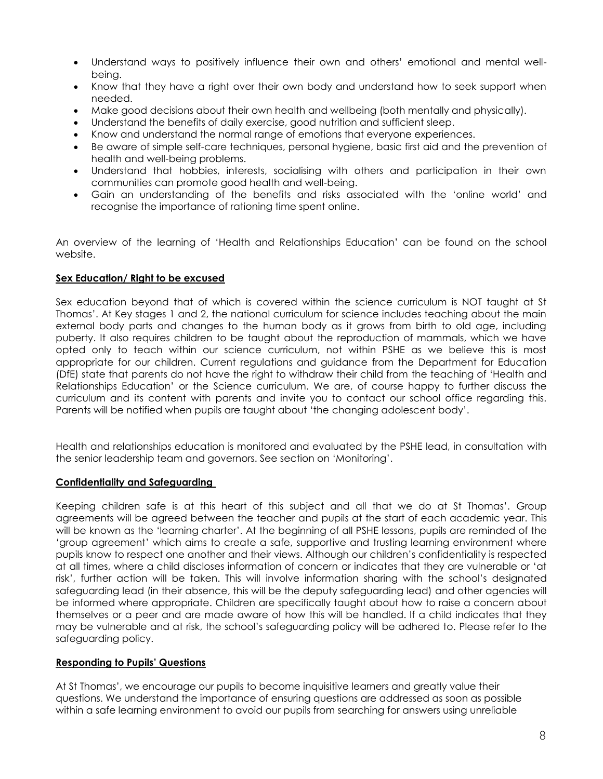- Understand ways to positively influence their own and others' emotional and mental wellbeing.
- Know that they have a right over their own body and understand how to seek support when needed.
- Make good decisions about their own health and wellbeing (both mentally and physically).
- Understand the benefits of daily exercise, good nutrition and sufficient sleep.
- Know and understand the normal range of emotions that everyone experiences.
- Be aware of simple self-care techniques, personal hygiene, basic first aid and the prevention of health and well-being problems.
- Understand that hobbies, interests, socialising with others and participation in their own communities can promote good health and well-being.
- Gain an understanding of the benefits and risks associated with the 'online world' and recognise the importance of rationing time spent online.

An overview of the learning of 'Health and Relationships Education' can be found on the school website.

#### **Sex Education/ Right to be excused**

Sex education beyond that of which is covered within the science curriculum is NOT taught at St Thomas'. At Key stages 1 and 2, the national curriculum for science includes teaching about the main external body parts and changes to the human body as it grows from birth to old age, including puberty. It also requires children to be taught about the reproduction of mammals, which we have opted only to teach within our science curriculum, not within PSHE as we believe this is most appropriate for our children. Current regulations and guidance from the Department for Education (DfE) state that parents do not have the right to withdraw their child from the teaching of 'Health and Relationships Education' or the Science curriculum. We are, of course happy to further discuss the curriculum and its content with parents and invite you to contact our school office regarding this. Parents will be notified when pupils are taught about 'the changing adolescent body'.

Health and relationships education is monitored and evaluated by the PSHE lead, in consultation with the senior leadership team and governors. See section on 'Monitoring'.

#### **Confidentiality and Safeguarding**

Keeping children safe is at this heart of this subject and all that we do at St Thomas'. Group agreements will be agreed between the teacher and pupils at the start of each academic year. This will be known as the 'learning charter'. At the beginning of all PSHE lessons, pupils are reminded of the 'group agreement' which aims to create a safe, supportive and trusting learning environment where pupils know to respect one another and their views. Although our children's confidentiality is respected at all times, where a child discloses information of concern or indicates that they are vulnerable or 'at risk', further action will be taken. This will involve information sharing with the school's designated safeguarding lead (in their absence, this will be the deputy safeguarding lead) and other agencies will be informed where appropriate. Children are specifically taught about how to raise a concern about themselves or a peer and are made aware of how this will be handled. If a child indicates that they may be vulnerable and at risk, the school's safeguarding policy will be adhered to. Please refer to the safeguarding policy.

# **Responding to Pupils' Questions**

At St Thomas', we encourage our pupils to become inquisitive learners and greatly value their questions. We understand the importance of ensuring questions are addressed as soon as possible within a safe learning environment to avoid our pupils from searching for answers using unreliable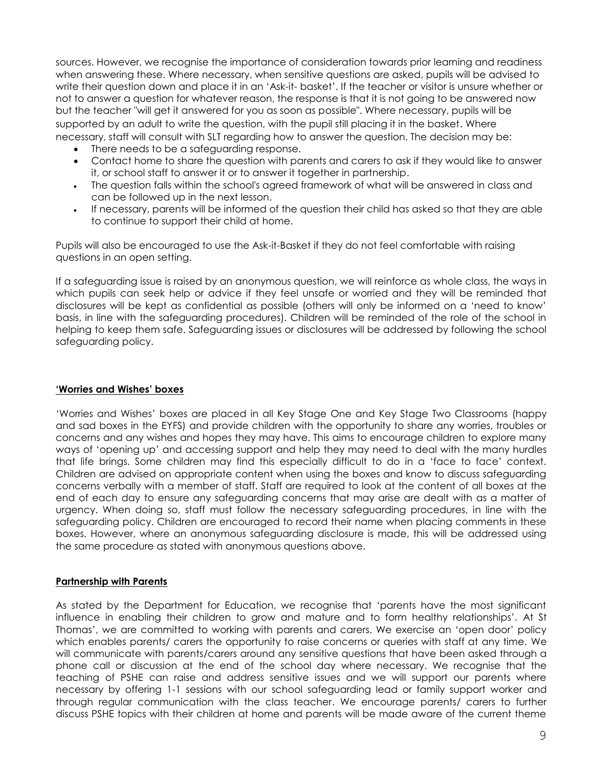sources. However, we recognise the importance of consideration towards prior learning and readiness when answering these. Where necessary, when sensitive questions are asked, pupils will be advised to write their question down and place it in an 'Ask-it- basket'. If the teacher or visitor is unsure whether or not to answer a question for whatever reason, the response is that it is not going to be answered now but the teacher "will get it answered for you as soon as possible". Where necessary, pupils will be supported by an adult to write the question, with the pupil still placing it in the basket. Where necessary, staff will consult with SLT regarding how to answer the question. The decision may be:

- There needs to be a safeguarding response.
- Contact home to share the question with parents and carers to ask if they would like to answer it, or school staff to answer it or to answer it together in partnership.
- The question falls within the school's agreed framework of what will be answered in class and can be followed up in the next lesson.
- If necessary, parents will be informed of the question their child has asked so that they are able to continue to support their child at home.

Pupils will also be encouraged to use the Ask-it-Basket if they do not feel comfortable with raising questions in an open setting.

If a safeguarding issue is raised by an anonymous question, we will reinforce as whole class, the ways in which pupils can seek help or advice if they feel unsafe or worried and they will be reminded that disclosures will be kept as confidential as possible (others will only be informed on a 'need to know' basis, in line with the safeguarding procedures). Children will be reminded of the role of the school in helping to keep them safe. Safeguarding issues or disclosures will be addressed by following the school safeguarding policy.

#### **'Worries and Wishes' boxes**

'Worries and Wishes' boxes are placed in all Key Stage One and Key Stage Two Classrooms (happy and sad boxes in the EYFS) and provide children with the opportunity to share any worries, troubles or concerns and any wishes and hopes they may have. This aims to encourage children to explore many ways of 'opening up' and accessing support and help they may need to deal with the many hurdles that life brings. Some children may find this especially difficult to do in a 'face to face' context. Children are advised on appropriate content when using the boxes and know to discuss safeguarding concerns verbally with a member of staff. Staff are required to look at the content of all boxes at the end of each day to ensure any safeguarding concerns that may arise are dealt with as a matter of urgency. When doing so, staff must follow the necessary safeguarding procedures, in line with the safeguarding policy. Children are encouraged to record their name when placing comments in these boxes. However, where an anonymous safeguarding disclosure is made, this will be addressed using the same procedure as stated with anonymous questions above.

#### **Partnership with Parents**

As stated by the Department for Education, we recognise that 'parents have the most significant influence in enabling their children to grow and mature and to form healthy relationships'. At St Thomas', we are committed to working with parents and carers. We exercise an 'open door' policy which enables parents/ carers the opportunity to raise concerns or queries with staff at any time. We will communicate with parents/carers around any sensitive questions that have been asked through a phone call or discussion at the end of the school day where necessary. We recognise that the teaching of PSHE can raise and address sensitive issues and we will support our parents where necessary by offering 1-1 sessions with our school safeguarding lead or family support worker and through regular communication with the class teacher. We encourage parents/ carers to further discuss PSHE topics with their children at home and parents will be made aware of the current theme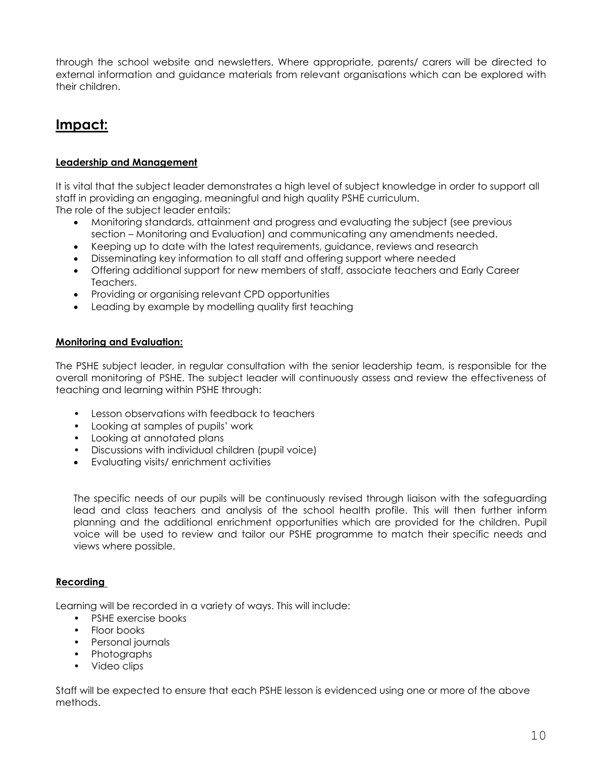through the school website and newsletters. Where appropriate, parents/ carers will be directed to external information and guidance materials from relevant organisations which can be explored with their children.

# **Impact:**

# **Leadership and Management**

It is vital that the subject leader demonstrates a high level of subject knowledge in order to support all staff in providing an engaging, meaningful and high quality PSHE curriculum. The role of the subject leader entails:

- Monitoring standards, attainment and progress and evaluating the subject (see previous section – Monitoring and Evaluation) and communicating any amendments needed.
- Keeping up to date with the latest requirements, guidance, reviews and research
- Disseminating key information to all staff and offering support where needed
- Offering additional support for new members of staff, associate teachers and Early Career Teachers.
- Providing or organising relevant CPD opportunities
- Leading by example by modelling quality first teaching

## **Monitoring and Evaluation:**

The PSHE subject leader, in regular consultation with the senior leadership team, is responsible for the overall monitoring of PSHE. The subject leader will continuously assess and review the effectiveness of teaching and learning within PSHE through:

- Lesson observations with feedback to teachers
- Looking at samples of pupils' work
- Looking at annotated plans
- Discussions with individual children (pupil voice)
- Evaluating visits/ enrichment activities

The specific needs of our pupils will be continuously revised through liaison with the safeguarding lead and class teachers and analysis of the school health profile. This will then further inform planning and the additional enrichment opportunities which are provided for the children. Pupil voice will be used to review and tailor our PSHE programme to match their specific needs and views where possible.

# **Recording**

Learning will be recorded in a variety of ways. This will include:

- PSHE exercise books
- Floor books
- Personal journals
- Photographs
- Video clips

Staff will be expected to ensure that each PSHE lesson is evidenced using one or more of the above methods.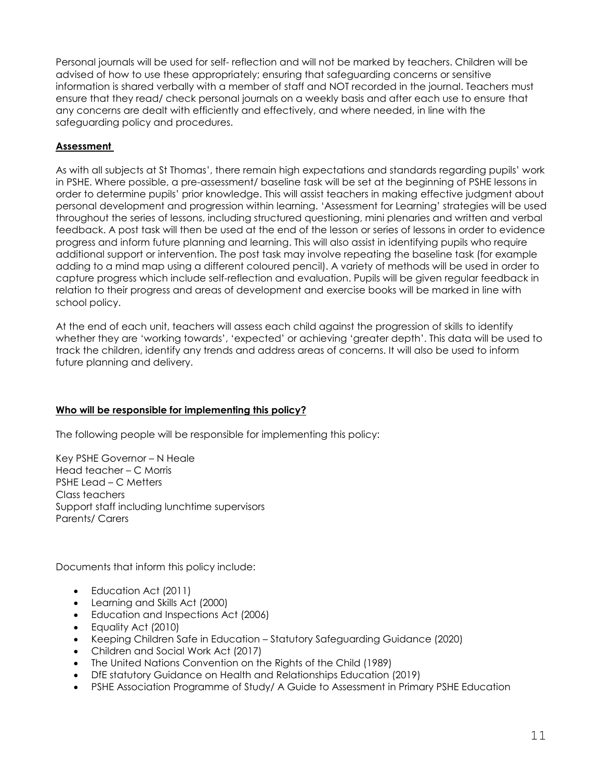Personal journals will be used for self- reflection and will not be marked by teachers. Children will be advised of how to use these appropriately; ensuring that safeguarding concerns or sensitive information is shared verbally with a member of staff and NOT recorded in the journal. Teachers must ensure that they read/ check personal journals on a weekly basis and after each use to ensure that any concerns are dealt with efficiently and effectively, and where needed, in line with the safeguarding policy and procedures.

# **Assessment**

As with all subjects at St Thomas', there remain high expectations and standards regarding pupils' work in PSHE. Where possible, a pre-assessment/ baseline task will be set at the beginning of PSHE lessons in order to determine pupils' prior knowledge. This will assist teachers in making effective judgment about personal development and progression within learning. 'Assessment for Learning' strategies will be used throughout the series of lessons, including structured questioning, mini plenaries and written and verbal feedback. A post task will then be used at the end of the lesson or series of lessons in order to evidence progress and inform future planning and learning. This will also assist in identifying pupils who require additional support or intervention. The post task may involve repeating the baseline task (for example adding to a mind map using a different coloured pencil). A variety of methods will be used in order to capture progress which include self-reflection and evaluation. Pupils will be given regular feedback in relation to their progress and areas of development and exercise books will be marked in line with school policy.

At the end of each unit, teachers will assess each child against the progression of skills to identify whether they are 'working towards', 'expected' or achieving 'greater depth'. This data will be used to track the children, identify any trends and address areas of concerns. It will also be used to inform future planning and delivery.

# **Who will be responsible for implementing this policy?**

The following people will be responsible for implementing this policy:

Key PSHE Governor – N Heale Head teacher – C Morris PSHE Lead – C Metters Class teachers Support staff including lunchtime supervisors Parents/ Carers

Documents that inform this policy include:

- Education Act (2011)
- Learning and Skills Act (2000)
- Education and Inspections Act (2006)
- Equality Act (2010)
- Keeping Children Safe in Education Statutory Safeguarding Guidance (2020)
- Children and Social Work Act (2017)
- The United Nations Convention on the Rights of the Child (1989)
- DfE statutory Guidance on Health and Relationships Education (2019)
- PSHE Association Programme of Study/ A Guide to Assessment in Primary PSHE Education